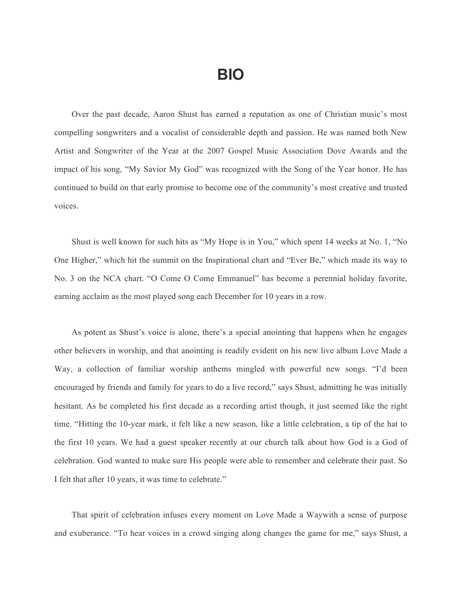**BIO**

Over the past decade, Aaron Shust has earned a reputation as one of Christian music's most compelling songwriters and a vocalist of considerable depth and passion. He was named both New Artist and Songwriter of the Year at the 2007 Gospel Music Association Dove Awards and the impact of his song, "My Savior My God" was recognized with the Song of the Year honor. He has continued to build on that early promise to become one of the community's most creative and trusted voices.

Shust is well known for such hits as "My Hope is in You," which spent 14 weeks at No. 1, "No One Higher," which hit the summit on the Inspirational chart and "Ever Be," which made its way to No. 3 on the NCA chart. "O Come O Come Emmanuel" has become a perennial holiday favorite, earning acclaim as the most played song each December for 10 years in a row.

As potent as Shust's voice is alone, there's a special anointing that happens when he engages other believers in worship, and that anointing is readily evident on his new live album Love Made a Way, a collection of familiar worship anthems mingled with powerful new songs. "I'd been encouraged by friends and family for years to do a live record," says Shust, admitting he was initially hesitant. As he completed his first decade as a recording artist though, it just seemed like the right time. "Hitting the 10-year mark, it felt like a new season, like a little celebration, a tip of the hat to the first 10 years. We had a guest speaker recently at our church talk about how God is a God of celebration. God wanted to make sure His people were able to remember and celebrate their past. So I felt that after 10 years, it was time to celebrate."

That spirit of celebration infuses every moment on Love Made a Waywith a sense of purpose and exuberance. "To hear voices in a crowd singing along changes the game for me," says Shust, a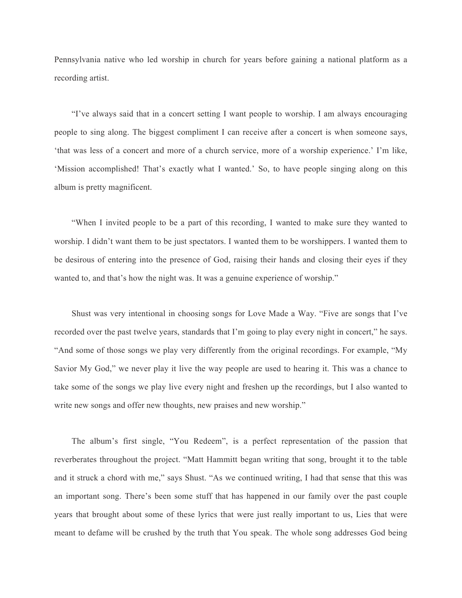Pennsylvania native who led worship in church for years before gaining a national platform as a recording artist.

"I've always said that in a concert setting I want people to worship. I am always encouraging people to sing along. The biggest compliment I can receive after a concert is when someone says, 'that was less of a concert and more of a church service, more of a worship experience.' I'm like, 'Mission accomplished! That's exactly what I wanted.' So, to have people singing along on this album is pretty magnificent.

"When I invited people to be a part of this recording, I wanted to make sure they wanted to worship. I didn't want them to be just spectators. I wanted them to be worshippers. I wanted them to be desirous of entering into the presence of God, raising their hands and closing their eyes if they wanted to, and that's how the night was. It was a genuine experience of worship."

Shust was very intentional in choosing songs for Love Made a Way. "Five are songs that I've recorded over the past twelve years, standards that I'm going to play every night in concert," he says. "And some of those songs we play very differently from the original recordings. For example, "My Savior My God," we never play it live the way people are used to hearing it. This was a chance to take some of the songs we play live every night and freshen up the recordings, but I also wanted to write new songs and offer new thoughts, new praises and new worship."

The album's first single, "You Redeem", is a perfect representation of the passion that reverberates throughout the project. "Matt Hammitt began writing that song, brought it to the table and it struck a chord with me," says Shust. "As we continued writing, I had that sense that this was an important song. There's been some stuff that has happened in our family over the past couple years that brought about some of these lyrics that were just really important to us, Lies that were meant to defame will be crushed by the truth that You speak. The whole song addresses God being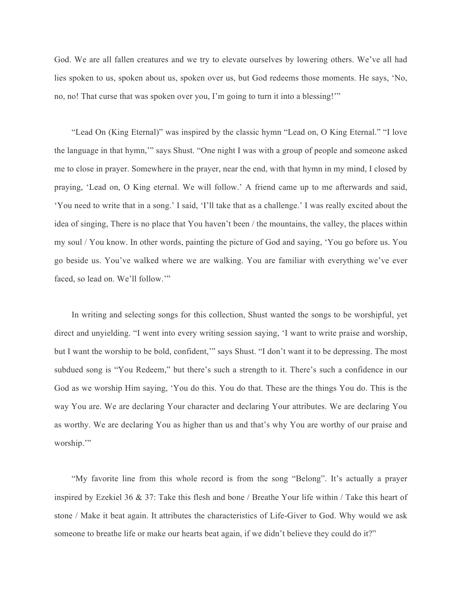God. We are all fallen creatures and we try to elevate ourselves by lowering others. We've all had lies spoken to us, spoken about us, spoken over us, but God redeems those moments. He says, 'No, no, no! That curse that was spoken over you, I'm going to turn it into a blessing!'"

"Lead On (King Eternal)" was inspired by the classic hymn "Lead on, O King Eternal." "I love the language in that hymn,'" says Shust. "One night I was with a group of people and someone asked me to close in prayer. Somewhere in the prayer, near the end, with that hymn in my mind, I closed by praying, 'Lead on, O King eternal. We will follow.' A friend came up to me afterwards and said, 'You need to write that in a song.' I said, 'I'll take that as a challenge.' I was really excited about the idea of singing, There is no place that You haven't been / the mountains, the valley, the places within my soul / You know. In other words, painting the picture of God and saying, 'You go before us. You go beside us. You've walked where we are walking. You are familiar with everything we've ever faced, so lead on. We'll follow.'"

In writing and selecting songs for this collection, Shust wanted the songs to be worshipful, yet direct and unyielding. "I went into every writing session saying, 'I want to write praise and worship, but I want the worship to be bold, confident,'" says Shust. "I don't want it to be depressing. The most subdued song is "You Redeem," but there's such a strength to it. There's such a confidence in our God as we worship Him saying, 'You do this. You do that. These are the things You do. This is the way You are. We are declaring Your character and declaring Your attributes. We are declaring You as worthy. We are declaring You as higher than us and that's why You are worthy of our praise and worship."

"My favorite line from this whole record is from the song "Belong". It's actually a prayer inspired by Ezekiel 36 & 37: Take this flesh and bone / Breathe Your life within / Take this heart of stone / Make it beat again. It attributes the characteristics of Life-Giver to God. Why would we ask someone to breathe life or make our hearts beat again, if we didn't believe they could do it?"